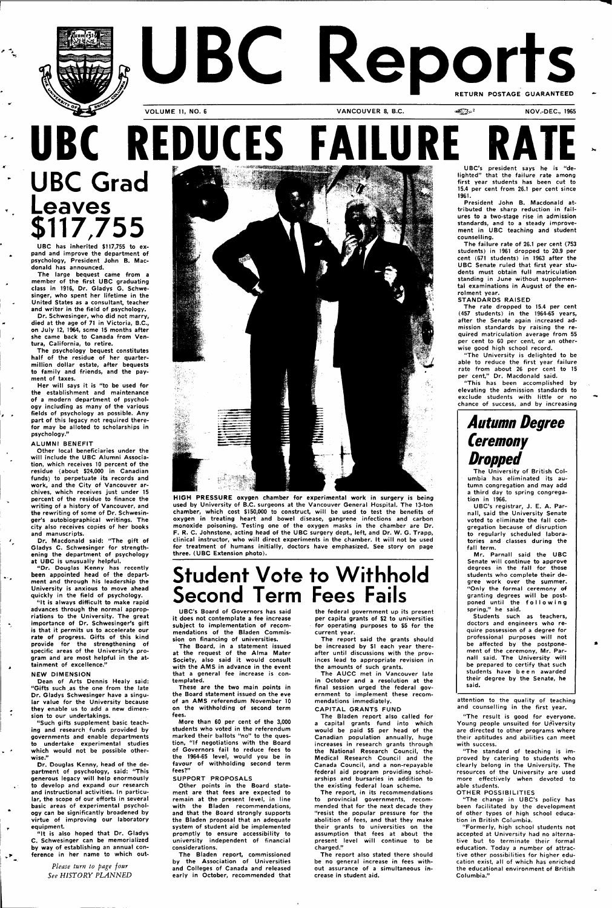

# UBC Reports **VOLUME 11, NO. 6 VANCOUVER 8, B.C. ACCUPER 1965 MOV.-DEC., 1965**

# **UBC REDUCES FAILURE UBC Grad Leaves \$117,755**

UBC has inherited \$117,755 to expand and improve the department of psychology, President John B. Macdonald has announced.

The large bequest came from a member of the first UBC graduating class in 1916, Dr. Gladys G. Schwesinger, who spent her lifetime in the United States as a consultant, teacher and writer in the field of psychology.

Dr. Schwesinger, who did not marry, died at the age of 71 in Victoria, B.C., on July 12, 1964, seme 15 months after she came back to Canada from Ventura, California, to retire.

The psychology bequest constitutes half of the residue of her quartermillion dollar estate, after bequests to family and friends, and the payment of taxes.

"It is always difficult to make rapid advances through the normal appropriations to the University. The great importance of Dr. Schwesinger's gift is that it permits us to accelerate our rate of progress. Gifts of this kind provide for the strengthening of specific areas of the University's program and are most helpful in the attainment of excellence.'

Her will says it is "to be used for the establishment and maintenance of a modern department of psychology including as many of the various fields of psychology as possible. Any part of this legacy not required therefor may be alloted to scholarships in psychology."

#### ALUMNI BENEFIT

Dean of Arts Dennis Healy said: Gifts such as the one

Other local beneficiaries under the will include the UBC Alumni Association, which receives 10 percent of the residue (about \$24,000 in Canadian funds) to perpetuate its records and work, and the City of Vancouver archives, which receives just under 15 percent of the residue to finance the writing of a history of Vancouver, and the rewriting of some of Dr. Schwesinger's autobiographical writings. The city also receives copies of her books and manuscripts.

Dr. Macdonald said: "The gift of Gladys C. Schwesinger for strengthening the department of psychology at UBC is unusually helpful.

"Dr. Douglas Kenny has recently been appointed head of the department and through his leadership the University is anxious to move ahead quickly in the field of psychology.

#### NEW DIMENSION

 $\ddotsc$ 

÷

می

 $\sqrt{P}$ 

Dr. Gladys Schwesinger have a singular value for the University because they enable us to add a new dimension to our undertakings.

"Such gifts supplement basic teaching and research funds provided by governments and enable departments to undertake experimental studies which would not be possible otherwise."

Dr. Douglas Kenny, head of the department of psychology, said: "This generous legacy will help enormously to develop and expand our research and instructional activities. In particular, the scope of our efforts in several basic areas of experimental psychology can be significantly broadened by virtue of improving our laboratory equipment.

"It is also hoped that Dr. Gladys C. Schwesinger can be memorialized by way of establishing an annual conference in her name to which out-

> *Please turn to page four See HISTORY PLANNED*

UBC's president says he is lighted" that the failure rate among first year students has been cut to 15.4 per cent from 26.1 per cent since 1961.



**HIGH PRESSURE** oxygen chamber for experimental work in surgery is being used by University of B.C. surgeons at the Vancouver General Hospital. The 13-ton chamber, which cost \$150,000 to construct, will be used to test the benefits of oxygen in treating heart and bowel disease, gangrene infections and carbon monoxide poisoning. Testing one of the oxygen masks in the chamber are Dr. F. R. C. Johnstone, acting head of the UBC surgery dept., left, and Dr. W. G. Trapp, clinical instructor, who will direct experiments in the chamber. It will not be used for treatment of humans initially, doctors have emphasized. See story on page three. (UBC Extension photo).

### **Student Vote to Withhold Second Term Fees Fails**

UBC's Board of Governors has said it does not contemplate a fee increase subject to implementation of recommendations of the Bladen Commission on financing of universities.

The Board, in a statement issued at the request of the Alma Mater Society, also said it would consult with the AMS in advance in the event that a general fee increase is con-

templated. These are the two main points in the Board statement issued on the eve of an AMS referendum November 10 on the withholding of second term fees.

More than 60 per cent of the 3,000 students who voted in the referendum marked their ballots "no" to the question, "If negotiations with the Board of Governors fail to reduce fees to the 1964-65 level, would you be in favour of withholding second term fees?"

#### SUPPORT PROPOSALS

Other points in the Board statement are that fees are expected to remain at the present level, in line with the Bladen recommendations, and that the Board strongly supports the Bladen proposal that an adequate system of student aid be implemented promptly to ensure accessibility to university independent of financial considerations.

The Bladen report, commissioned by the Association of Universities and Colleges of Canada and released early in October, recommended that

the federal government up its present per capita grants of \$2 to universities for operating purposes to \$5 for the current year.

The report said the grants should be increased by \$1 each year thereafter until discussions with the provinces lead to appropriate revision in the amounts of such grants.

The AUCC met in Vancouver late in October and a resolution at the final session urged the federal government to implement these recommendations immediately.

#### CAPITAL GRANTS FUND

The Bladen report also called for a capital grants fund into which would be paid \$5 per head of the Canadian population annually, huge increases in research grants through the National Research Council, the Medical Research Council and the Canada Council, and a non-repayable federal aid program providing scholarships and bursaries in addition to the existing federal loan scheme.

The report, in its recommendations to provincial governments, recommended that for the next decade they "resist the popular pressure for the abolition of fees, and that they make their grants to universities on the assumption that fees at about the present level will continue to be charged."

The report also stated there should be no general increase in fees without assurance of a simultaneous increase in student aid.

President John B. Macdonald attributed the sharp reduction in failures to a two-stage rise in admission standards, and to a steady improvement in UBC teaching and student counselling.

The failure rate of 26.1 per cent (753 students) in 1961 dropped to 20.9 per cent (671 students) in 1963 after the UBC Senate ruled that first year students must obtain full matriculation standing in June without supplemental examinations in August of the enrolment year.

STANDARDS RAISED

The rate dropped to 15.4 per cent (457 students) in the 1964-65 years, after the Senate again increased admission standards by raising the required matriculation average from 55 per cent to 60 per cent, or an otherwise good high school record.

"The University is delighted to be able to reduce the first year failure rate from about 26 per cent to 15 per cent," Dr. Macdonald said.

"This has been accomplished by elevating the admission standards to exclude students with little or no chance of success, and by increasing

### **Autumn Degree Ceremony**  *Dropped*

The University of British Columbia has eliminated its autumn congregation and may add a third day to spring congregation in 1966.

UBC's registrar, J. E. A. Parnall, said the University Senate voted to eliminate the fall congregation because of disruption to regularly scheduled laboratories and classes during the fall term.

Mr. Parnall said the UBC Senate will continue to approve degrees in the fall for those students who complete their degree work over the summer. "Only the formal ceremony of granting degrees will be postponed until the followin g spring," he said.

Students such as teachers, doctors and engineers who require possession of a degree for professional purposes will not be affected by the postponement of the ceremony, Mr. Parnall said. The University will be prepared to certify that such students have bee n awarded their degree by the Senate, he said.

attention to the quality of teaching and counselling in the first year.

"The result is good for everyone. Young people unsuited for University are directed to other programs where their aptitudes and abilities can meet with success.

"The standard of teaching is improved by catering to students who clearly belong in the University. The resources of the University are used more effectively when devoted to able students.

#### OTHER POSSIBILITIES

"The change in UBC's policy has been facilitated by the development of other types of high school education in British Columbia.

"Formerly, high school students not accepted at University had no alternative but to terminate their formal education. Today a number of attractive other possibilities for higher education exist, all of which has enriched the educational environment of British Columbia."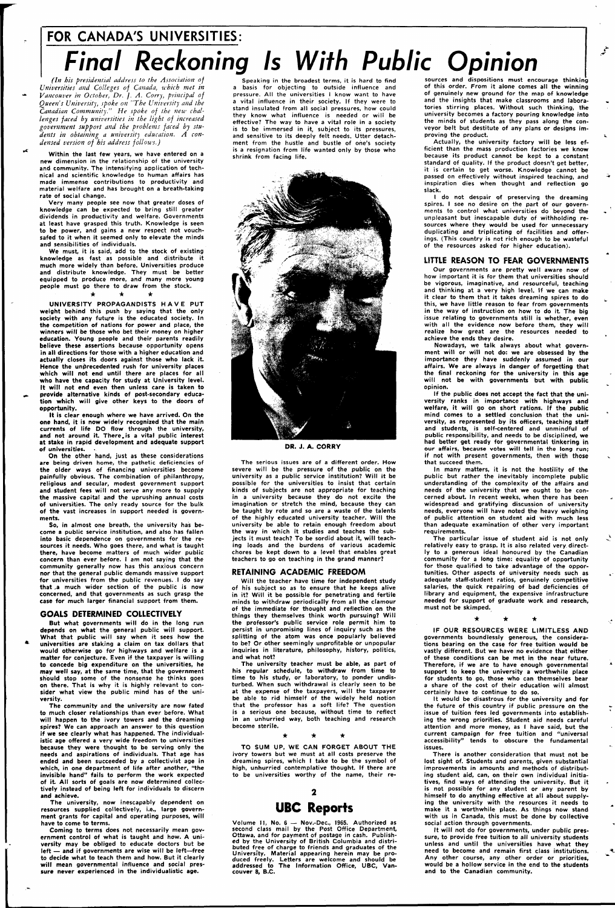## **FOR CANADA'S UNIVERSITIES: Final Reckoning Is With Public Opinion**

*(In his presidential address to the Association of Universities and Colleges of Canada, which met in Vancouver in October, Dr. J. A. Cony, principal of Queen's University, spoke on <sup>r</sup>'The University and the Canadian Community." He spoke of the new challenges faced by universities in the light of increased government support and the problems faced by students in obtaining a university education. A condensed version of his address follows.)* 

Within the last few years, we have entered on a new dimension in the relationship of the university and community. The intensifying application of technical and scientific knowledge to human affairs has made immense contributions to productivity and material welfare and has brought on a breath-taking rate of social change.

Very many people see now that greater doses of knowledge can be expected to bring still greater dividends in productivity and welfare. Governments at least have grasped this truth. Knowledge is seen to be power, and gains a new respect not vouchsafed to it when it seemed only to elevate the minds and sensibilities of individuals.

We must, it is said, add to the stock of existing knowledge as fast as possible and distribute it much more widely than before. Universities produce and distribute knowledge. They must be better equipped to produce more, and many more young people must go there to draw from the stock. **• \* •** 

UNIVERSITY PROPAGANDISTS HAV E PUT weight behind this push by saying that the only society with any future is the educated society. In the competition of nations for power and place, the winners will be those who bet their money on higher education. Young people and their parents readily believe these assertions because opportunity opens in all directions for those with a higher education and actually closes its doors against those who lack it. Hence the unprecedented rush for university places which will not end until there are places for all who have the capacity for study at University level. It will not end even then unless care is taken to provide alternative kinds of post-secondary education which will give other keys to the doors of opportunity.

It is clear enough where we have arrived. On the one hand, it is now widely recognized that the main currents of life DO flow through the university, and not around it. There, is a vital public interest at stake in rapid development and adequate support of universities.

On the other hand, just as these considerations are being driven home, the pathetic deficiencies of the older ways of financing universities become painfully obvious. The combination of philanthropy, religious and secular, modest government support and student fees will not serve any more to supply the massive capital and the uprushing annual costs of universities. The only ready source for the bulk of the vast increases in support needed is governments.

So, in almost one breath, the university has become a public service institution, and also has fallen into basic dependence on governments for the resources it needs. Who goes there, and what is taught there, have become matters of much wider public concern than ever before. I am not saying that the community generally now has this anxious concern nor that the general public demands massive support for universities from the public revenues. I do say that ,a much wider section of the public is now concerned, and that governments as such grasp the case for much larger financial support from them.

#### **GOALS DETERMINED COLLECTIVELY**

But what governments will do in the long run depends on what the general public will support. What that public will say when it sees how the universities are staking a claim on tax dollars that would otherwise go for highways and welfare is a matter for conjecture. Even if the taxpayer is willing to concede big expenditure on the universities, he may well say, at the same time, that the government should stop some of the nonsense he thinks goes on there. That is why it is highly relevant to consider what view the public mind has of the university. The community and the university are now fated to much closer relationships than ever before. What will happen to the ivory towers and the dreaming spires? We can approach an answer to this question if we see clearly what has happened. The individualistic age offered a very wide freedom to universities because they were thought to be serving only the needs and aspirations of individuals. That age has ended and been succeeded by a collectivist age in which, in one department of life after another, "the invisible hand" fails to perform the work expected of it. All sorts of goals are now determined collectively instead of being left for individuals to discern and achieve. The university, now inescapably dependent on resources supplied collectively, i.e., large government grants for capital and operating purposes, will have to come to terms. Coming to terms does not necessarily mean government control of what is taught and how. A university may be obliged to educate doctors but be left — and if governments are wise will be left—free to decide what to teach them and how. But it clearly will mean governmental influence and social pressure never experienced in the individualistic age.

Speaking in the broadest terms, it is hard to find a basis for objecting to outside influence and pressure. All the universities I know want to have a vital influence in their society. If they were to stand insulated from all social pressures, how could they know what influence is needed or will be effective? The way to have a vital role in a society is to be immersed in it, subject to its pressures, and sensitive to its deeply felt needs. Utter detachment from the hustle and bustle of one's society is a resignation from life wanted only by those who shrink from facing life.



**DR. J. A. CORRY** 

The serious issues are of a different order. How severe will be the pressure of the public on the university as a public service institution? Will it be possible for the universities to insist that certain kinds of subjects are not appropriate for teaching in a university because they do not excite the imagination or stretch the mind, because they can be taught by rote and so are a waste of the talents of the highly educated university teacher. Will the university be able to retain enough freedom about the way in which it studies and teaches the subjects it must teach? To be sordid about it, will teaching loads and the burdens of various academic chores be kept down to a level that enables great teachers to go on teaching in the grand manner?

#### **RETAINING ACADEMIC FREEDOM**

Will the teacher have time for independent study of his subject so as to ensure that he keeps alive in it? Will it be possible for penetrating and fertile minds to withdraw periodically from all the clamour of the immediate for thought and reflection on the things they themselves think worth pursuing? Will the professor's public service role permit him to persist in unpromising lines of inquiry such as the splitting of the atom was once popularly believed to be? Or other seemingly unprofitable or unpopular inquiries in literature, philosophy, history, politics, and what not?

The university teacher must be able, as part of his regular schedule, to withdraw from time to time to his study, or laboratory, to ponder undisturbed. When such withdrawal is clearly seen to be

at the expense of the taxpayers, will the taxpayer be able to rid himself of the widely held notion that the professor has a soft life? The question is a serious one because, without time to reflect in an unhurried way, both teaching and research become sterile.

TO SUM UP, WE CAN FORGET ABOUT THE ivory towers but we must at all costs preserve the dreaming spires, which I take to be the symbol of high, unhurried contemplative thought. If there are to be universities worthy of the name, their re-

### $\mathbf{2}$

### **UBC Reports**

Volume 11, No. 6 — Nov.-Dec, 1965. Authorized as second class mail by the Post Office Department, Ottawa, and for payment of postage in cash. Published by the University of British Columbia and distributed free of charge to friends and graduates of the University. Material appearing herein may be produced freely. Letters are welcome and should be addressed to The Information Office, UBC, Vancouver 8, B.C.

sources and dispositions must encourage thinking of this order. From it alone comes all the winning of genuinely new ground for the map of knowledge and the insights that make classrooms and laboratories stirring places. Without such thinking, the university becomes a factory pouring knowledge into the minds of students as they pass along the conveyor belt but destitute of any plans or designs improving the product.

Actually, the university factory will be less efficient than the mass production factories we know because its product cannot be kept to a constant standard of quality. If the product doesn't get better, it is certain to get worse. Knowledge cannot be passed on effectively without inspired teaching, and inspiration dies when thought and reflection go slack.

I do not despair of preserving the dreaming spires. I see no desire on the part of our governments to control what universities do beyond the unpleasant but inescapable duty of withholding resources where they would be used for unnecessary duplicating and triplicating of facilities and offerings. (This country is not rich enough to be wasteful of the resources asked for higher education).

#### **LITTLE REASON TO FEAR GOVERNMENTS**

Our governments are pretty well aware now of how important it is for them that universities should be vigorous, imaginative, and resourceful, teaching and thinking at a very high level. If we can make it clear to them that it takes dreaming spires to do this, we have little reason to fear from governments in the way of instruction on how to do it. The big issue relating to governments still is whether, even with all the evidence now before them, they will realize how great are the resources needed to achieve the ends they desire.

Nowadays, we talk always about what government will or will not do: we are obsessed by the importance they have suddenly assumed in our affairs. We are always in danger of forgetting that the final reckoning for the university in this age will not be with governments but with public opinion.

If the public does not accept the fact that the university ranks in importance with highways and welfare, it will go on short rations. If the public mind comes to a settled conclusion that the university, as represented by its officers, teaching staff and students, is self-centered and unmindful of public responsibility, and needs to be disciplined, we had better get ready for governmental tinkering in our affairs, because votes will tell in the long run; if not with present governments, then with those that succeed them.

In many matters, it is not the hostility of the public but rather the inevitably incomplete public understanding of the complexity of the affairs and needs of the university that we ought to be concerned about. In recent weeks, when there has been widespread and gratifying discussion of university needs, everyone will have noted the heavy weighing of public attention on student aid with much less than adequate examination of other very important requirements.

The particular issue of student aid is not only relatively easy to grasp. It is also related very, directly to a generous ideal honoured by the Canadian community for a long time: equality of opportunity for those qualified to take advantage of the opportunities. Other aspects of university needs such as adequate staff-student ratios, genuinely competitive salaries, the quick repairing of bad deficiencies of library and equipment, the expensive infrastructure needed for support of graduate work and research, must not be skimped.

> $\star$ ★

IF OUR RESOURCES WERE LIMITLESS AND governments boundlessly generous, the considerations bearing on the case for free tuition would be vastly different. But we have no evidence that either of these conditions can be met in the near future. Therefore, if we are to have enough governmental support to keep the university a worthwhile place for students to go, those who can themselves bear a share of the cost of their education will almost certainly have to continue to do so. It would be disastrous for the university and for the future of this country if public pressure on the issue of tuition fees led governments into establishing the wrong priorities. Student aid needs careful attention and more money, as I have said, but the current campaign for free tuition and "universal accessibility" tends to obscure the fundamental issues. There is another consideration that must not be lost sight of. Students and parents, given substantial improvements in amounts and methods of distributing student aid, can, on their own individual initiatives, find ways of attending the university. But it is not possible for any student or any parent by himself to do anything effective at all about supplying the university with the resources it needs to make it a worthwhile place. As things now stand with us in Canada, this must be done by collective social action through governments. It will not do for governments, under public pressure, to provide free tuition to all university students unless and until the universities have what they need to become and remain first class institutions. Any other course, any other order or priorities, would be a hollow service in the end to the students and to the Canadian community.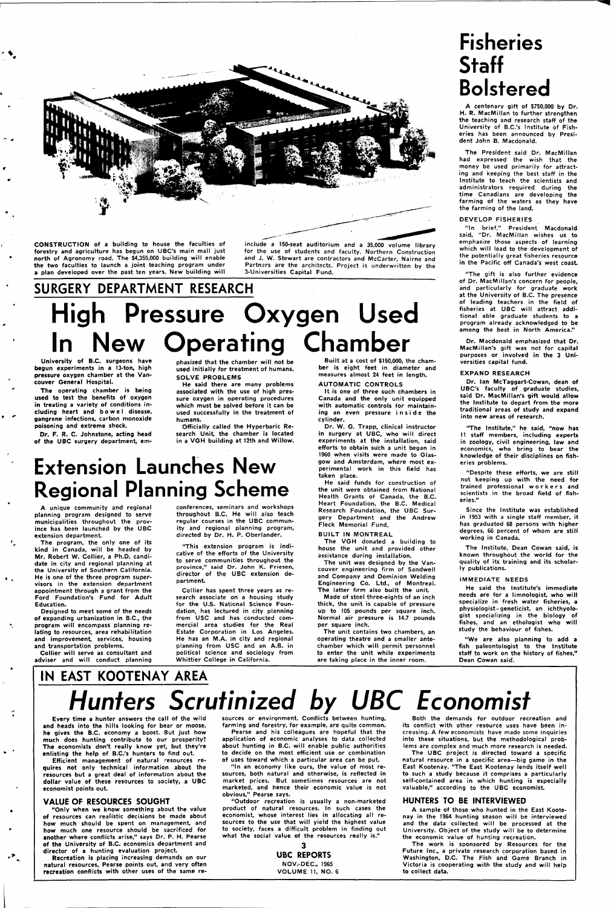

**CONSTRUCTION of a building to house the faculties of forestry and agriculture has begun on UBC's main mall just north of Agronomy road. The \$4,355,000 building will enable the two faculties to launch a joint teaching program under a plan developed over the past ten years. New building will** 

**include a 150-seat auditorium and a 35,000 volume library for the use of students and faculty. Northern Construction and J. W. Stewart are contractors and McCarter, Nairne and Partners are the architects. Project is underwritten by the 3-Universities Capital Fund.** 

# **SURGERY DEPARTMENT RESEARCH High Pressure Oxygen Used In New Operating Chamber**

**University of B.C. surgeons have begun experiments in a 13-ton, high pressure oxygen chamber at the Vancouver General Hospital.** 

**The operating chamber is being used to test the benefits of oxygen in treating a variety of conditions including heart and bowe l disease, gangrene infections, carbon monoxide poisoning and extreme shock.** 

**Dr. F. R. C. Johnstone, acting head of the UBC surgery department, em-**

**phasized that the chamber will not be used initially for treatment of humans. SOLVE PROBLEMS** 

**He said there are many problems associated with the use of high pressure oxygen in operating procedures which must be solved before it can be used successfully in the treatment of humans.** 

**Officially called the Hyperbaric Research Unit, the chamber is located in a VGH building at 12th and Willow.** 

### **Extension Launches New Regional Planning Scheme**

**A unique community and regional planning program designed to serve municipalities throughout the province has been launched by the UBC extension department.** 

**The program, the only one of its kind in Canada, will be headed by Mr. Robert W. Collier, a Ph.D. candidate in city and regional planning at the University of Southern California. He is one of the three program supervisors in the extension department appointment through a grant from the Ford Foundation's Fund for Adult Education.** 

**Designed to meet some of the needs of expanding urbanization in B.C., the program will encompass planning relating to resources, area rehabilitation and improvement, services, housing and transportation problems.** 

**Collier will serve as consultant and adviser and will conduct planning** 

**conferences, seminars and workshops throughout B.C. He will also teach regular courses in the UBC community and regional planning program, directed by Dr. H. P. Oberlander.** 

**"This extension program is indicative of the efforts of the University to serve communities throughout the province," said Dr. John K. Friesen, director of the UBC extension department.** 

**Collier has spent three years as research associate on a housing study for the U.S. National Science Foundation, has lectured in city planning from USC and has conducted commercial area studies for the Real Estate Corporation in Los Angeles. He has an M.A. in city and regional planning from USC and an A.B. in political science and sociology from Whittier College in California.** 

**Built at a cost of \$150,000, the chamber is eight feet in diameter and measures almost 24 feet in length.** 

**AUTOMATIC CONTROLS** 

**It is one of three such chambers in Canada and the only unit equipped with automatic controls for maintain**ing an even pressure inside the **cylinder.** 

**Dr. W. G. Trapp, clinical instructor in surgery at UBC, who will direct experiments at the installation, said efforts to obtain such a unit began in 1960 when visits were made to Glasgow and Amsterdam, where most experimental work in this field has taken place.** 

**He said funds for construction of the unit were obtained from National Health Grants of Canada, the B.C. Heart Foundation, the B.C. Medical Research Foundation, the UBC Surgery Department and the Andrew Fleck Memorial Fund.** 

**BUILT IN MONTREAL** 

**The VGH donated a building to house the unit and provided other assistance during installation.** 

**The unit was designed by the Vancouver engineering firm of Sandwell and Company and Dominion Welding Engineering Co. Ltd., of Montreal. The latter firm also built the unit.** 

**Made of steel three-eights of an inch thick, the unit is capable of pressure up to 105 pounds per square inch. Normal air pressure is 14.7 pounds per square inch.** 

**The unit contains two chambers, an operating theatre and a smaller antechamber which will permit personnel to enter the unit while experiments are taking place in the inner room.** 

### **Fisheries Staff Bolstered**

**A centenary gift of \$750,000 by Dr. H. R. MacMillan to further strengthen the teaching and research staff of the University of B.C.'s Institute of Fisheries has been announced by President John B. Macdonald.** 

**The President said Dr. MacMillan had expressed the wish that the money be used primarily for attracting and keeping the best staff in the Institute to teach the scientists and administrators required during the time Canadians are developing the farming of the waters as they have the farming of the land.** 

#### **DEVELOP FISHERIES**

**"In brief," President Macdonald said, "Dr. MacMillan wishes us to emphasize those aspects of learning which will lead to the development of the potentially great fisheries resource in the Pacific off Canada's west coast** 

**"The gift is also further evidence of Dr. MacMillan's concern for people, and particularly for graduate work at the University of B.C. The presence of leading teachers in the field of fisheries at UBC will attract additional able graduate students to a program already acknowledged to be among the best in North America."** 

**Dr. Macdonald emphasized that Dr. MacMillan's gift was not for capital purposes or involved in the 3 Universities capital fund.** 

#### **EXPAND RESEARCH**

**Dr. Ian McTaggart-Cowan, dean of UBC's faculty of graduate studies, said Dr. MacMillan's gift would allow the Institute to depart from the more traditional areas of study and expand into new areas of research.** 

**'The Institute," he said, "now has 11 staff members, including experts in zoology, civil engineering, law and economics, who bring to bear the knowledge of their disciplines on fisheries problems.** 

**"Despite these efforts, we are still not keeping up with the need for trained professional worker s and scientists in the broad field of fisheries."** 

**Since the Institute was established in 1953 with a single staff member, it has graduated 68 persons with higher degrees, 66 percent of whom are still working in Canada.** 

**The Institute, Dean Cowan said, is known throughout the world for the quality of its training and its scholarly publications.** 

#### **IMMEDIATE NEEDS**

**He said the Institute's immediate needs are for a limnologist, who will specialize in fresh water fisheries, a physiologist-geneticist, an ichthyologist specializing in the biology of fishes, and an ethologist who will study the behaviour of fishes.** 

**"We are also planning to add a fish paleontologist to the Institute staff to work on the history of fishes," Dean Cowan said.** 

# **Hunters Scrutinized by UBC Economist**

**IN EAST KOOTENAY AREA** 

**Every time a hunter answers the call of the wild and heads into the hills looking for bear or moose, he gives the B.C. economy a boost. But just how much does hunting contribute to our prosperity? The economists don't really know yet, but they're enlisting the help of B.C.'s hunters to find out.** 

**Efficient management of natural resources requires not only technical information about the resources but a great deal of information about the dollar value of these resources to society, a UBC economist points out.** 

#### **VALUE OF RESOURCES SOUGHT**

**"Only when we know something about the value of resources can realistic decisions be made about how much should be spent on management, and how much one resource should be sacrificed for another where conflicts arise," says Dr. P. H. Pearse of the University of B.C. economics department and director of a hunting evaluation project.** 

**Recreation is placing increasing demands on our natural resources, Pearse points out, and very often recreation conflicts with other uses of the same re-** **sources or environment. Conflicts between hunting, farming and forestry, for example, are quite common.** 

**Pearse and his colleagues are hopeful that the application of economic analyses to data collected about hunting in B.C. will enable public authorities to decide on the most efficient use or combination of uses toward which a particular area can be put.** 

**"In an economy like ours, the value of most resources, both natural and otherwise, is reflected in market prices. But sometimes resources are not marketed, and hence their economic value is not obvious," Pearse says.** 

**"Outdoor recreation is usually a non-marketed product of natural resources. In such cases the economist, whose interest lies in allocating all resources to the use that will yield the highest value to society, faces a difficult problem in finding out what the social value of the resources really is."** 

#### **3 UBC REPORTS NOV.-DEC, 1965 VOLUME 11, NO. 6**

#### **Both the demands for outdoor recreation and its conflict with other resource uses have been increasing. A few economists have made some inquiries into these situations, but the methodological problems are complex and much more research is needed.**

**The UBC project is directed toward a specific natural resource in a specific area—big game in the East Kootenay. "The East Kootenay lends itself well to such a study because it comprises a particularly self-contained area in which hunting is especially valuable," according to the UBC economist.** 

#### **HUNTERS TO BE INTERVIEWED**

**A sample of those who hunted in the East Kootenay in the 1964 hunting season will be interviewed and the data collected will be processed at the University. Object of the study will be to determine the economic value of hunting recreation.** 

**The work is sponsored by Resources for the Future Inc., a private research corporation based in Washington, D.C. The Fish and Game Branch in Victoria is cooperating with the study and will help to collect data.**